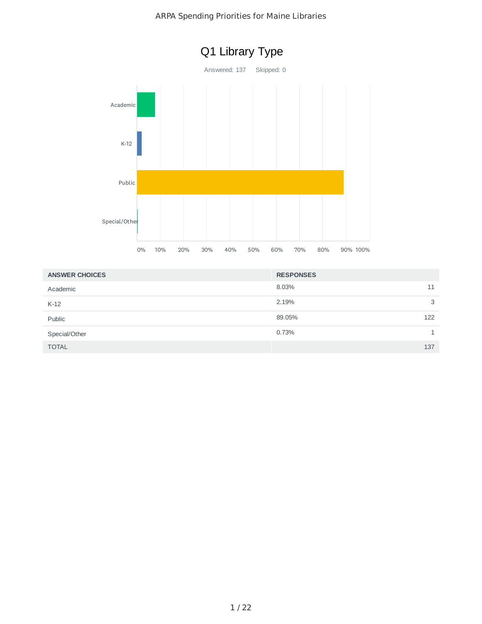

| <b>ANSWER CHOICES</b> | <b>RESPONSES</b> |     |
|-----------------------|------------------|-----|
| Academic              | 8.03%            | 11  |
| $K-12$                | 2.19%            | 3   |
| Public                | 89.05%           | 122 |
| Special/Other         | 0.73%            |     |
| <b>TOTAL</b>          |                  | 137 |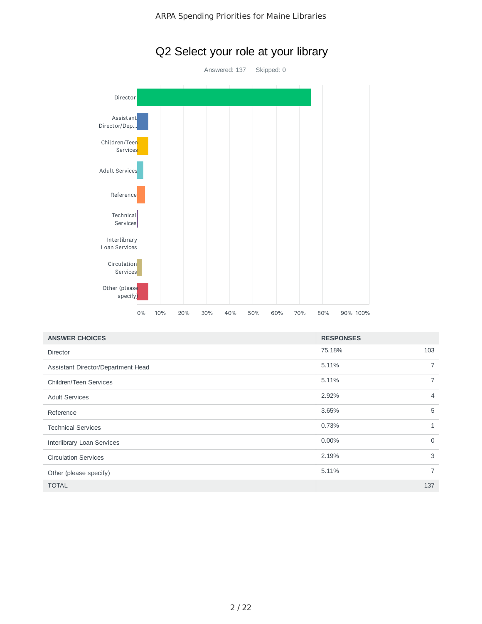

# Q2 Select your role at your library

| <b>ANSWER CHOICES</b>              | <b>RESPONSES</b> |                |
|------------------------------------|------------------|----------------|
| <b>Director</b>                    | 75.18%           | 103            |
| Assistant Director/Department Head | 5.11%            | $\overline{7}$ |
| Children/Teen Services             | 5.11%            | $\overline{7}$ |
| <b>Adult Services</b>              | 2.92%            | $\overline{4}$ |
| Reference                          | 3.65%            | 5              |
| <b>Technical Services</b>          | 0.73%            | $\mathbf{1}$   |
| <b>Interlibrary Loan Services</b>  | $0.00\%$         | $\mathbf 0$    |
| <b>Circulation Services</b>        | 2.19%            | 3              |
| Other (please specify)             | 5.11%            | $\overline{7}$ |
| <b>TOTAL</b>                       |                  | 137            |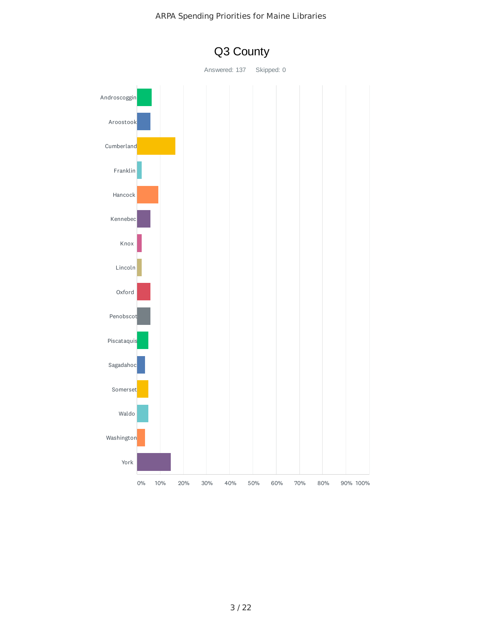

Q3 County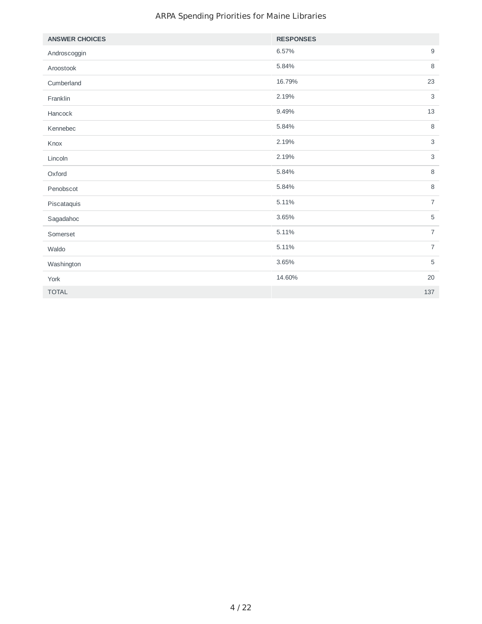| <b>ANSWER CHOICES</b> | <b>RESPONSES</b> |                |
|-----------------------|------------------|----------------|
| Androscoggin          | 6.57%            | $\mathsf g$    |
| Aroostook             | 5.84%            | $\,8\,$        |
| Cumberland            | 16.79%           | 23             |
| Franklin              | 2.19%            | 3              |
| Hancock               | 9.49%            | 13             |
| Kennebec              | 5.84%            | 8              |
| Knox                  | 2.19%            | 3              |
| Lincoln               | 2.19%            | 3              |
| Oxford                | 5.84%            | 8              |
| Penobscot             | 5.84%            | 8              |
| Piscataquis           | 5.11%            | $\overline{7}$ |
| Sagadahoc             | 3.65%            | 5              |
| Somerset              | 5.11%            | $\overline{7}$ |
| Waldo                 | 5.11%            | $\overline{7}$ |
| Washington            | 3.65%            | $\mathbf 5$    |
| York                  | 14.60%           | 20             |
| <b>TOTAL</b>          | 137              |                |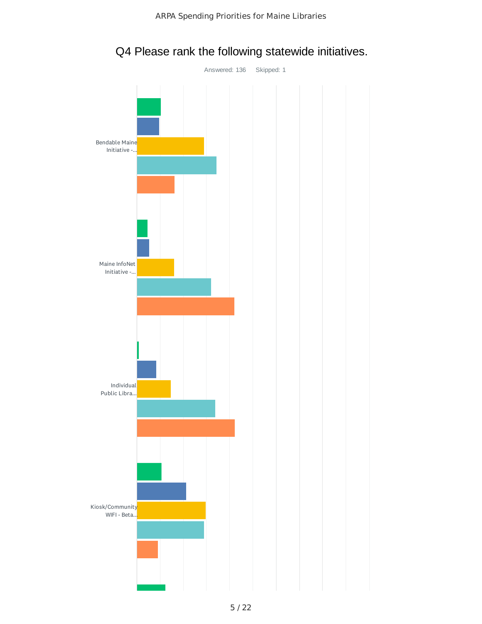

Q4 Please rank the following statewide initiatives.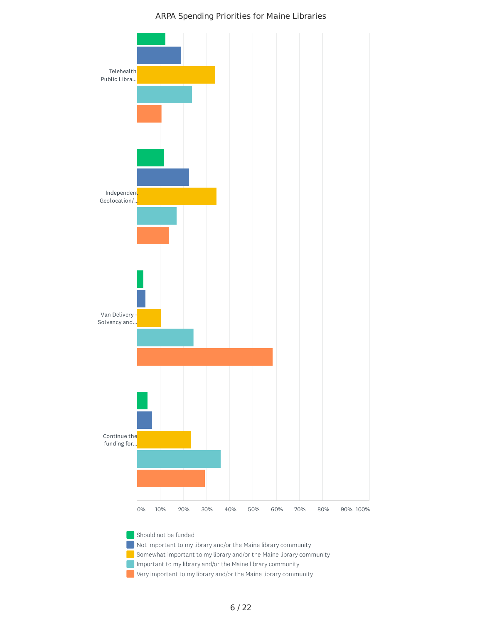

Important to my library and/or the Maine library community

Very important to my library and/or the Maine library community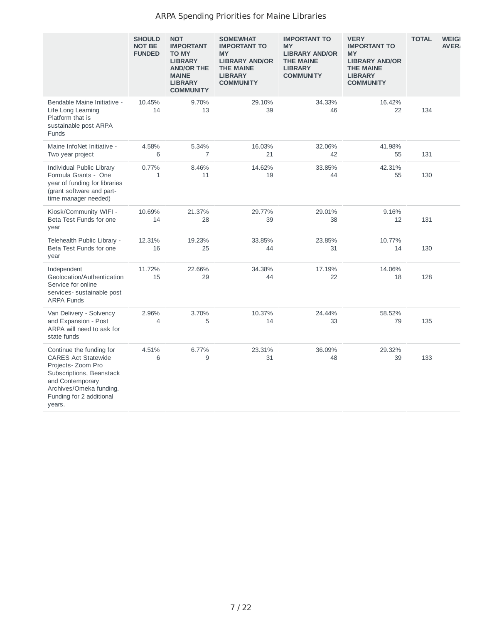|                                                                                                                                                                                        | <b>SHOULD</b><br><b>NOT BE</b><br><b>FUNDED</b> | <b>NOT</b><br><b>IMPORTANT</b><br><b>TO MY</b><br><b>LIBRARY</b><br><b>AND/OR THE</b><br><b>MAINE</b><br><b>LIBRARY</b><br><b>COMMUNITY</b> | <b>SOMEWHAT</b><br><b>IMPORTANT TO</b><br><b>MY</b><br><b>LIBRARY AND/OR</b><br><b>THE MAINE</b><br><b>LIBRARY</b><br><b>COMMUNITY</b> | <b>IMPORTANT TO</b><br><b>MY</b><br><b>LIBRARY AND/OR</b><br><b>THE MAINE</b><br><b>LIBRARY</b><br><b>COMMUNITY</b> | <b>VERY</b><br><b>IMPORTANT TO</b><br><b>MY</b><br><b>LIBRARY AND/OR</b><br><b>THE MAINE</b><br><b>LIBRARY</b><br><b>COMMUNITY</b> | <b>TOTAL</b> | <b>WEIGI</b><br><b>AVER</b> |
|----------------------------------------------------------------------------------------------------------------------------------------------------------------------------------------|-------------------------------------------------|---------------------------------------------------------------------------------------------------------------------------------------------|----------------------------------------------------------------------------------------------------------------------------------------|---------------------------------------------------------------------------------------------------------------------|------------------------------------------------------------------------------------------------------------------------------------|--------------|-----------------------------|
| Bendable Maine Initiative -<br>Life Long Learning<br>Platform that is<br>sustainable post ARPA<br>Funds                                                                                | 10.45%<br>14                                    | 9.70%<br>13                                                                                                                                 | 29.10%<br>39                                                                                                                           | 34.33%<br>46                                                                                                        | 16.42%<br>22                                                                                                                       | 134          |                             |
| Maine InfoNet Initiative -<br>Two year project                                                                                                                                         | 4.58%<br>6                                      | 5.34%<br>7                                                                                                                                  | 16.03%<br>21                                                                                                                           | 32.06%<br>42                                                                                                        | 41.98%<br>55                                                                                                                       | 131          |                             |
| Individual Public Library<br>Formula Grants - One<br>year of funding for libraries<br>(grant software and part-<br>time manager needed)                                                | 0.77%<br>$\mathbf{1}$                           | 8.46%<br>11                                                                                                                                 | 14.62%<br>19                                                                                                                           | 33.85%<br>44                                                                                                        | 42.31%<br>55                                                                                                                       | 130          |                             |
| Kiosk/Community WIFI -<br>Beta Test Funds for one<br>year                                                                                                                              | 10.69%<br>14                                    | 21.37%<br>28                                                                                                                                | 29.77%<br>39                                                                                                                           | 29.01%<br>38                                                                                                        | 9.16%<br>12                                                                                                                        | 131          |                             |
| Telehealth Public Library -<br>Beta Test Funds for one<br>year                                                                                                                         | 12.31%<br>16                                    | 19.23%<br>25                                                                                                                                | 33.85%<br>44                                                                                                                           | 23.85%<br>31                                                                                                        | 10.77%<br>14                                                                                                                       | 130          |                             |
| Independent<br>Geolocation/Authentication<br>Service for online<br>services-sustainable post<br><b>ARPA Funds</b>                                                                      | 11.72%<br>15                                    | 22.66%<br>29                                                                                                                                | 34.38%<br>44                                                                                                                           | 17.19%<br>22                                                                                                        | 14.06%<br>18                                                                                                                       | 128          |                             |
| Van Delivery - Solvency<br>and Expansion - Post<br>ARPA will need to ask for<br>state funds                                                                                            | 2.96%<br>4                                      | 3.70%<br>5                                                                                                                                  | 10.37%<br>14                                                                                                                           | 24.44%<br>33                                                                                                        | 58.52%<br>79                                                                                                                       | 135          |                             |
| Continue the funding for<br>CARES Act Statewide<br>Projects- Zoom Pro<br>Subscriptions, Beanstack<br>and Contemporary<br>Archives/Omeka funding.<br>Funding for 2 additional<br>years. | 4.51%<br>6                                      | 6.77%<br>9                                                                                                                                  | 23.31%<br>31                                                                                                                           | 36.09%<br>48                                                                                                        | 29.32%<br>39                                                                                                                       | 133          |                             |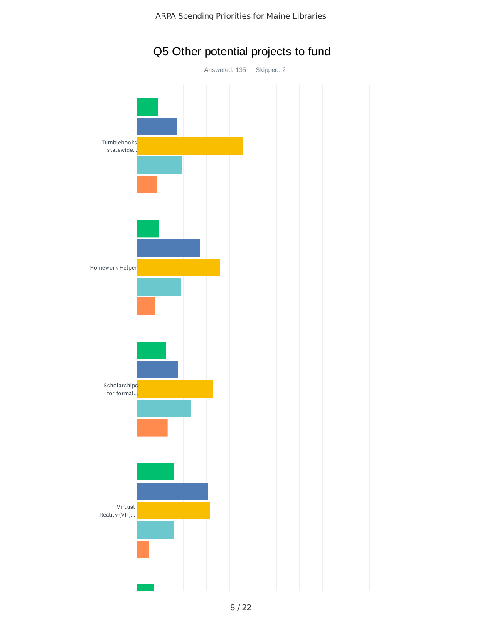

# Q5 Other potential projects to fund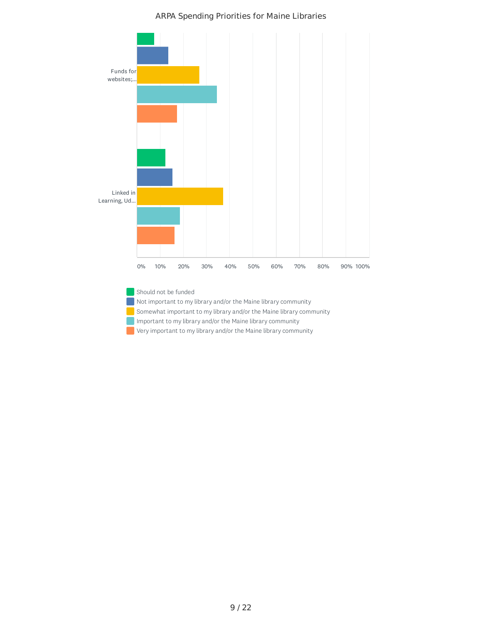

Should not be funded Not important to my library and/or the Maine library community Somewhat important to my library and/or the Maine library community Important to my library and/or the Maine library community Very important to my library and/or the Maine library community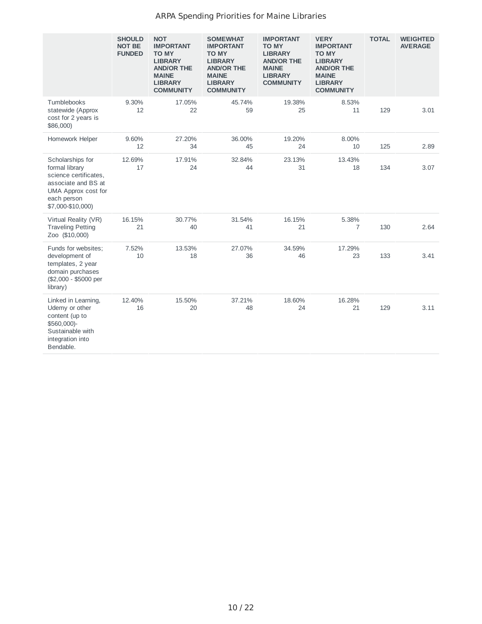|                                                                                                                                               | <b>SHOULD</b><br><b>NOT BE</b><br><b>FUNDED</b> | <b>NOT</b><br><b>IMPORTANT</b><br><b>TO MY</b><br><b>LIBRARY</b><br><b>AND/OR THE</b><br><b>MAINE</b><br><b>LIBRARY</b><br><b>COMMUNITY</b> | <b>SOMEWHAT</b><br><b>IMPORTANT</b><br><b>TO MY</b><br><b>LIBRARY</b><br><b>AND/OR THE</b><br><b>MAINE</b><br><b>LIBRARY</b><br><b>COMMUNITY</b> | <b>IMPORTANT</b><br><b>TO MY</b><br><b>LIBRARY</b><br><b>AND/OR THE</b><br><b>MAINE</b><br><b>LIBRARY</b><br><b>COMMUNITY</b> | <b>VERY</b><br><b>IMPORTANT</b><br><b>TO MY</b><br><b>LIBRARY</b><br><b>AND/OR THE</b><br><b>MAINE</b><br><b>LIBRARY</b><br><b>COMMUNITY</b> | <b>TOTAL</b> | <b>WEIGHTED</b><br><b>AVERAGE</b> |
|-----------------------------------------------------------------------------------------------------------------------------------------------|-------------------------------------------------|---------------------------------------------------------------------------------------------------------------------------------------------|--------------------------------------------------------------------------------------------------------------------------------------------------|-------------------------------------------------------------------------------------------------------------------------------|----------------------------------------------------------------------------------------------------------------------------------------------|--------------|-----------------------------------|
| Tumblebooks<br>statewide (Approx<br>cost for 2 years is<br>\$86,000)                                                                          | 9.30%<br>12                                     | 17.05%<br>22                                                                                                                                | 45.74%<br>59                                                                                                                                     | 19.38%<br>25                                                                                                                  | 8.53%<br>11                                                                                                                                  | 129          | 3.01                              |
| Homework Helper                                                                                                                               | 9.60%<br>12                                     | 27.20%<br>34                                                                                                                                | 36.00%<br>45                                                                                                                                     | 19.20%<br>24                                                                                                                  | 8.00%<br>10                                                                                                                                  | 125          | 2.89                              |
| Scholarships for<br>formal library<br>science certificates.<br>associate and BS at<br>UMA Approx cost for<br>each person<br>\$7,000-\$10,000) | 12.69%<br>17                                    | 17.91%<br>24                                                                                                                                | 32.84%<br>44                                                                                                                                     | 23.13%<br>31                                                                                                                  | 13.43%<br>18                                                                                                                                 | 134          | 3.07                              |
| Virtual Reality (VR)<br><b>Traveling Petting</b><br>Zoo (\$10,000)                                                                            | 16.15%<br>21                                    | 30.77%<br>40                                                                                                                                | 31.54%<br>41                                                                                                                                     | 16.15%<br>21                                                                                                                  | 5.38%<br>7                                                                                                                                   | 130          | 2.64                              |
| Funds for websites;<br>development of<br>templates, 2 year<br>domain purchases<br>(\$2,000 - \$5000 per<br>library)                           | 7.52%<br>10                                     | 13.53%<br>18                                                                                                                                | 27.07%<br>36                                                                                                                                     | 34.59%<br>46                                                                                                                  | 17.29%<br>23                                                                                                                                 | 133          | 3.41                              |
| Linked in Learning,<br>Udemy or other<br>content (up to<br>\$560,000)-<br>Sustainable with<br>integration into<br>Bendable.                   | 12.40%<br>16                                    | 15.50%<br>20                                                                                                                                | 37.21%<br>48                                                                                                                                     | 18.60%<br>24                                                                                                                  | 16.28%<br>21                                                                                                                                 | 129          | 3.11                              |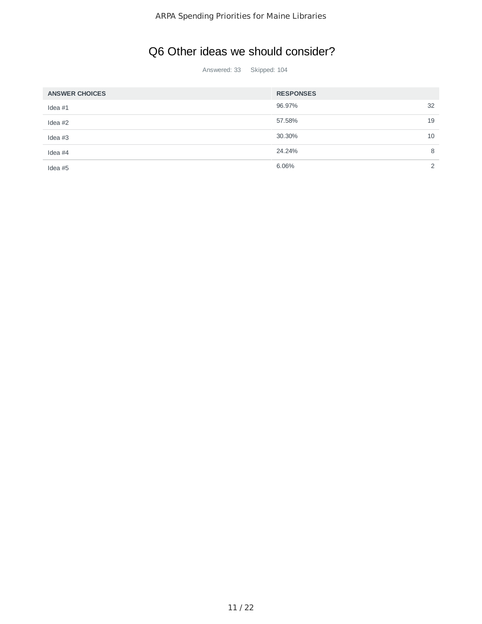# Q6 Other ideas we should consider?

Answered: 33 Skipped: 104

| <b>ANSWER CHOICES</b> | <b>RESPONSES</b> |               |
|-----------------------|------------------|---------------|
| Idea $#1$             | 96.97%           | 32            |
| Idea $#2$             | 57.58%           | 19            |
| Idea $#3$             | 30.30%           | 10            |
| Idea $#4$             | 24.24%           | 8             |
| Idea $#5$             | 6.06%            | $\mathcal{P}$ |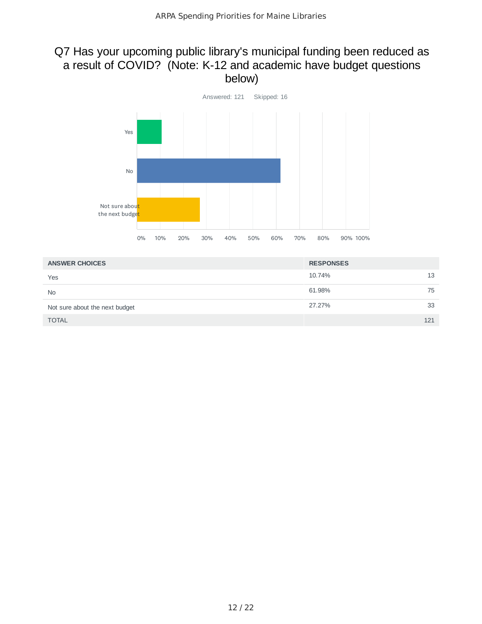## Q7 Has your upcoming public library's municipal funding been reduced as a result of COVID? (Note: K-12 and academic have budget questions below)



| <b>ANSWER CHOICES</b>          | <b>RESPONSES</b> |     |
|--------------------------------|------------------|-----|
| Yes                            | 10.74%           | 13  |
| <b>No</b>                      | 61.98%           | 75  |
| Not sure about the next budget | 27.27%           | 33  |
| <b>TOTAL</b>                   |                  | 121 |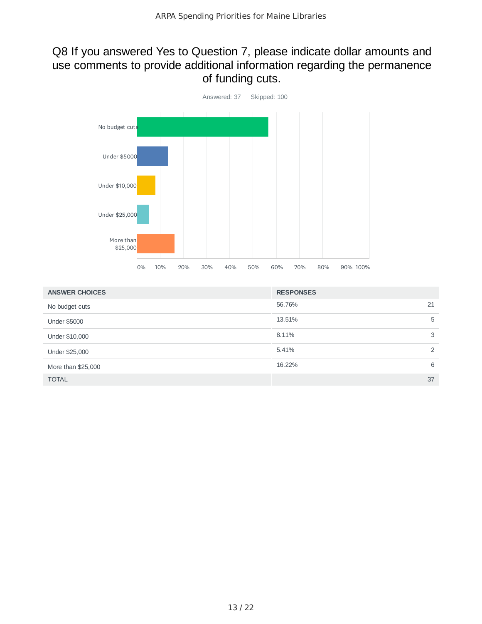## Q8 If you answered Yes to Question 7, please indicate dollar amounts and use comments to provide additional information regarding the permanence of funding cuts.



| <b>ANSWER CHOICES</b> | <b>RESPONSES</b> |
|-----------------------|------------------|
| No budget cuts        | 56.76%<br>21     |
| <b>Under \$5000</b>   | 13.51%<br>5      |
| Under \$10,000        | 3<br>8.11%       |
| Under \$25,000        | 2<br>5.41%       |
| More than \$25,000    | 16.22%<br>6      |
| <b>TOTAL</b>          | 37               |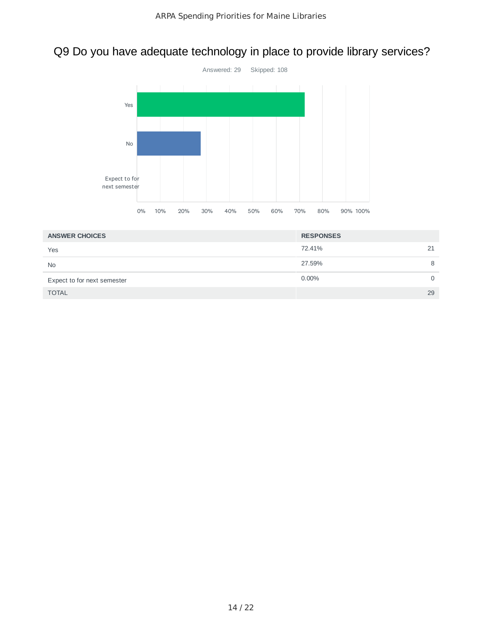# Q9 Do you have adequate technology in place to provide library services?



| <b>ANSWER CHOICES</b>       | <b>RESPONSES</b>     |
|-----------------------------|----------------------|
| Yes                         | 72.41%<br>21         |
| <b>No</b>                   | 27.59%<br>8          |
| Expect to for next semester | $0.00\%$<br>$\Omega$ |
| <b>TOTAL</b>                | 29                   |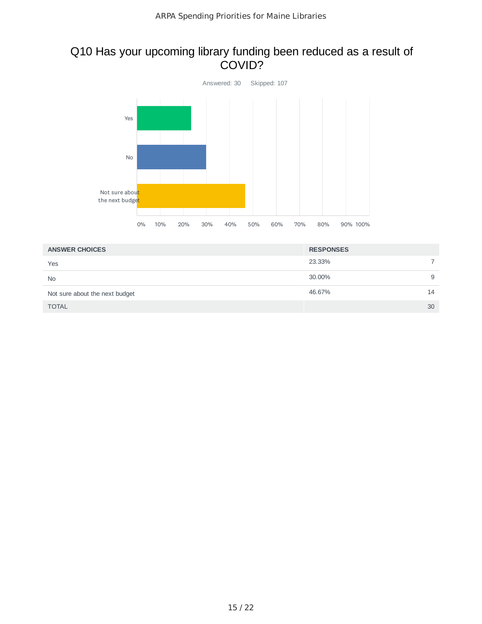## Q10 Has your upcoming library funding been reduced as a result of COVID?



| <b>ANSWER CHOICES</b>          | <b>RESPONSES</b> |   |
|--------------------------------|------------------|---|
| Yes                            | 23.33%           |   |
| <b>No</b>                      | 30.00%           | 9 |
| Not sure about the next budget | 46.67%<br>14     |   |
| <b>TOTAL</b>                   | 30               |   |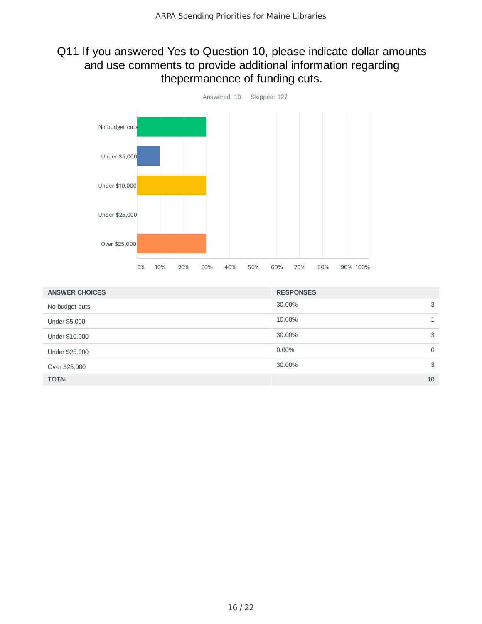## Q11 If you answered Yes to Question 10, please indicate dollar amounts and use comments to provide additional information regarding thepermanence of funding cuts.



| <b>ANSWER CHOICES</b> | <b>RESPONSES</b> |             |
|-----------------------|------------------|-------------|
| No budget cuts        | 30.00%           | 3           |
| Under \$5,000         | 10.00%           | 1           |
| Under \$10,000        | 30.00%           | 3           |
| Under \$25,000        | $0.00\%$         | $\mathbf 0$ |
| Over \$25,000         | 30.00%           | 3           |
| <b>TOTAL</b>          |                  | 10          |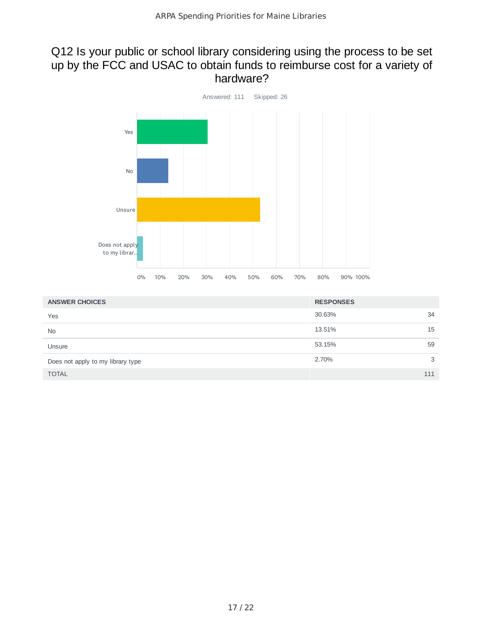### Q12 Is your public or school library considering using the process to be set up by the FCC and USAC to obtain funds to reimburse cost for a variety of hardware?



| <b>ANSWER CHOICES</b>             | <b>RESPONSES</b> |     |
|-----------------------------------|------------------|-----|
| Yes                               | 30.63%           | 34  |
| <b>No</b>                         | 13.51%           | 15  |
| Unsure                            | 53.15%           | 59  |
| Does not apply to my library type | 2.70%            | 3   |
| <b>TOTAL</b>                      |                  | 111 |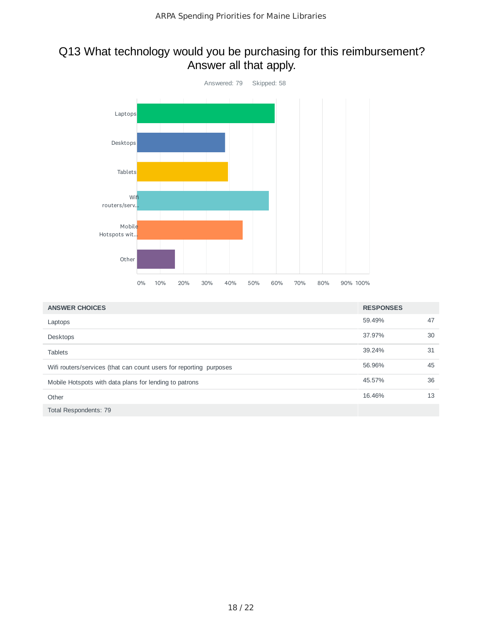## Q13 What technology would you be purchasing for this reimbursement? Answer all that apply.



| <b>ANSWER CHOICES</b>                                              | <b>RESPONSES</b> |    |
|--------------------------------------------------------------------|------------------|----|
| Laptops                                                            | 59.49%           | 47 |
| Desktops                                                           | 37.97%           | 30 |
| <b>Tablets</b>                                                     | 39.24%           | 31 |
| Wifi routers/services (that can count users for reporting purposes | 56.96%           | 45 |
| Mobile Hotspots with data plans for lending to patrons             | 45.57%           | 36 |
| Other                                                              | 16.46%           | 13 |
| Total Respondents: 79                                              |                  |    |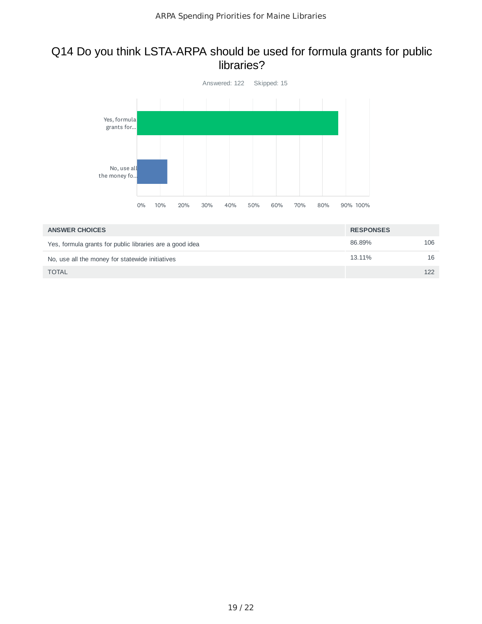### Q14 Do you think LSTA-ARPA should be used for formula grants for public libraries?



| <b>ANSWER CHOICES</b>                                    | <b>RESPONSES</b> |     |
|----------------------------------------------------------|------------------|-----|
| Yes, formula grants for public libraries are a good idea | 86.89%           | 106 |
| No, use all the money for statewide initiatives          | 13.11%           | 16  |
| <b>TOTAL</b>                                             |                  | 122 |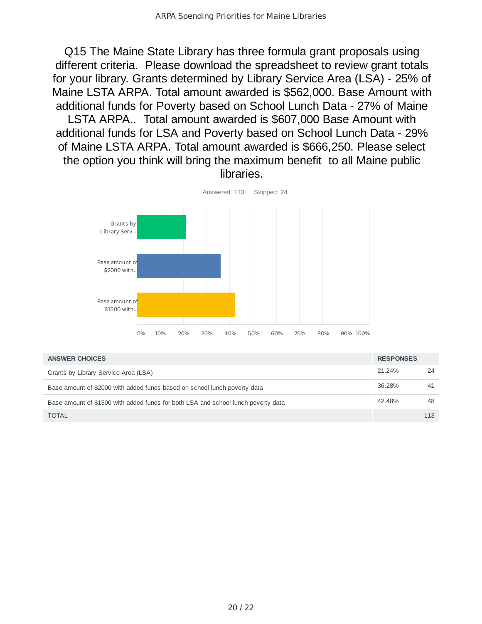Q15 The Maine State Library has three formula grant proposals using different criteria. Please download the spreadsheet to review grant totals for your library. Grants determined by Library Service Area (LSA) - 25% of Maine LSTA ARPA. Total amount awarded is \$562,000. Base Amount with additional funds for Poverty based on School Lunch Data - 27% of Maine LSTA ARPA.. Total amount awarded is \$607,000 Base Amount with additional funds for LSA and Poverty based on School Lunch Data - 29% of Maine LSTA ARPA. Total amount awarded is \$666,250. Please select the option you think will bring the maximum benefit to all Maine public libraries.



| <b>ANSWER CHOICES</b>                                                             | <b>RESPONSES</b> |     |
|-----------------------------------------------------------------------------------|------------------|-----|
| Grants by Library Service Area (LSA)                                              | 21.24%           | 24  |
| Base amount of \$2000 with added funds based on school lunch poverty data         | 36.28%           | 41  |
| Base amount of \$1500 with added funds for both LSA and school lunch poverty data | 42.48%           | 48  |
| <b>TOTAL</b>                                                                      |                  | 113 |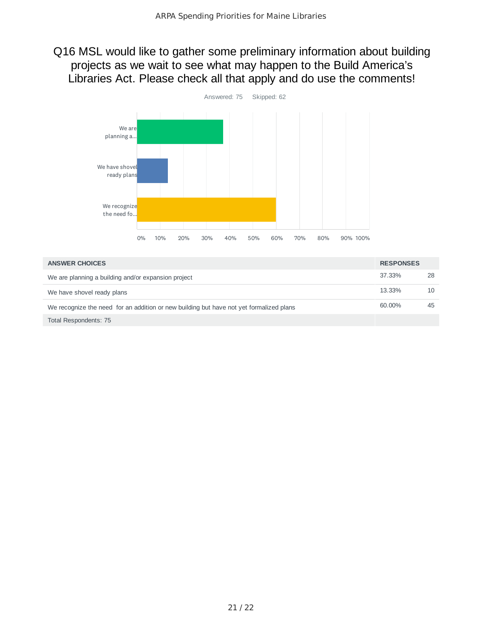Q16 MSL would like to gather some preliminary information about building projects as we wait to see what may happen to the Build America's Libraries Act. Please check all that apply and do use the comments!



| <b>ANSWER CHOICES</b>                                                                   | <b>RESPONSES</b> |    |
|-----------------------------------------------------------------------------------------|------------------|----|
| We are planning a building and/or expansion project                                     | 37.33%           | 28 |
| We have shovel ready plans                                                              | 13.33%           | 10 |
| We recognize the need for an addition or new building but have not yet formalized plans | 60.00%           | 45 |
| Total Respondents: 75                                                                   |                  |    |